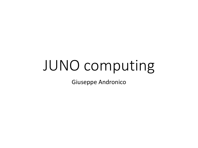## JUNO computing

Giuseppe Andronico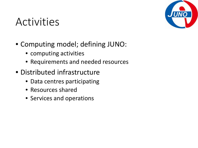#### Activities



- Computing model; defining JUNO:
	- computing activities
	- Requirements and needed resources
- Distributed infrastructure
	- Data centres participating
	- Resources shared
	- Services and operations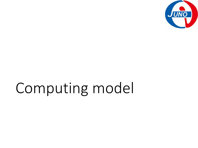

# Computing model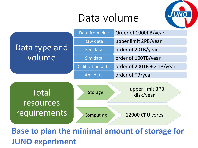#### Data volume





**Base to plan the minimal amount of storage for JUNO experiment**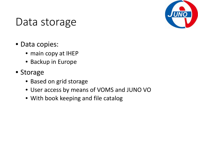

#### Data storage

- Data copies:
	- main copy at IHEP
	- Backup in Europe
- Storage
	- Based on grid storage
	- User access by means of VOMS and JUNO VO
	- With book keeping and file catalog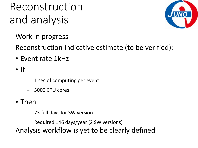### Reconstruction and analysis



Work in progress

Reconstruction indicative estimate (to be verified):

- Event rate 1kHz
- $\bullet$  If
- − 1 sec of computing per event
- − 5000 CPU cores
- Then
	- − 73 full days for SW version
	- − Required 146 days/year (2 SW versions)

Analysis workflow is yet to be clearly defined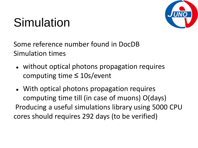### Simulation



Some reference number found in DocDB Simulation times

- without optical photons propagation requires computing time ≤ 10s/event
- With optical photons propagation requires computing time till (in case of muons) O(days) Producing a useful simulations library using 5000 CPU cores should requires 292 days (to be verified)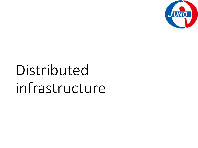

# Distributed infrastructure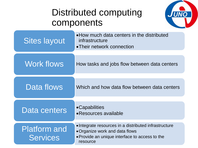#### Distributed computing components



| <b>Sites layout</b>                    | • How much data centers in the distributed<br>infrastructure<br>• Their network connection                                                            |
|----------------------------------------|-------------------------------------------------------------------------------------------------------------------------------------------------------|
| <b>Work flows</b>                      | How tasks and jobs flow between data centers                                                                                                          |
| Data flows                             | Which and how data flow between data centers                                                                                                          |
| Data centers                           | •Capabilities<br>• Resources available                                                                                                                |
| <b>Platform and</b><br><b>Services</b> | • Integrate resources in a distributed infrastructure<br>• Organize work and data flows<br>• Provide an unique interface to access to the<br>resource |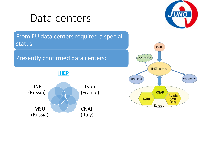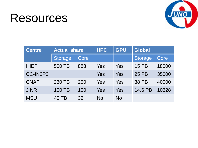### Resources



| <b>Centre</b> | <b>Actual share</b> |             | <b>HPC</b> | <b>GPU</b> | <b>Global</b>  |       |
|---------------|---------------------|-------------|------------|------------|----------------|-------|
|               | <b>Storage</b>      | <b>Core</b> |            |            | <b>Storage</b> | Core  |
| <b>IHEP</b>   | 500 TB              | 888         | Yes        | Yes        | 15 PB          | 18000 |
| CC-IN2P3      |                     |             | Yes        | Yes        | 25 PB          | 35000 |
| <b>CNAF</b>   | 230 TB              | 250         | Yes        | Yes        | <b>38 PB</b>   | 40000 |
| <b>JINR</b>   | 100 TB              | 100         | <b>Yes</b> | Yes        | 14.6 PB        | 10328 |
| <b>MSU</b>    | 40 TB               | 32          | No         | <b>No</b>  |                |       |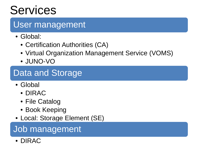### **Services**

#### User management

- Global:
	- Certification Authorities (CA)
	- Virtual Organization Management Service (VOMS)
	- JUNO-VO

#### Data and Storage

- Global
	- DIRAC
	- File Catalog
	- Book Keeping
- Local: Storage Element (SE)

#### Job management

• DIRAC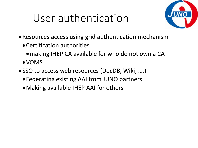### User authentication



- •Resources access using grid authentication mechanism
	- •Certification authorities
		- making IHEP CA available for who do not own a CA
	- •VOMS
- •SSO to access web resources (DocDB, Wiki, ….)
	- •Federating existing AAI from JUNO partners
	- •Making available IHEP AAI for others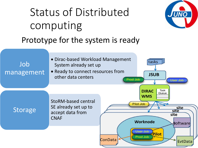# Status of Distributed computing



EvtData

Prototype for the system is ready



Storage



**ConData** 

Prod Job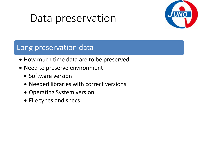#### Data preservation



#### Long preservation data

- How much time data are to be preserved
- Need to preserve environment
	- Software version
	- Needed libraries with correct versions
	- Operating System version
	- File types and specs